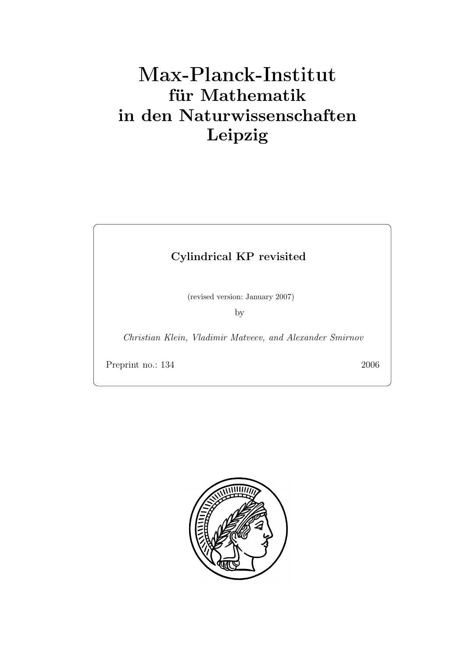# **für Mathematik in den Naturwissenschaften Leipzig**

# **Cylindrical KP revisited**

(revised version: January 2007)

by

*Christian Klein, Vladimir Matveev, and Alexander Smirnov*

Preprint no.: 134 2006

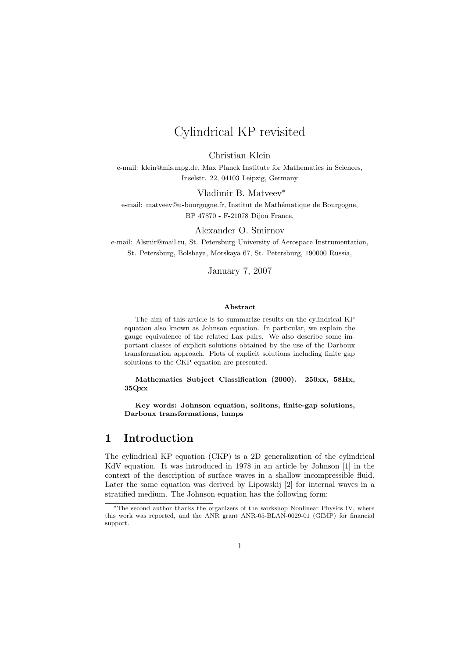# Cylindrical KP revisited

Christian Klein

e-mail: klein@mis.mpg.de, Max Planck Institute for Mathematics in Sciences, Inselstr. 22, 04103 Leipzig, Germany

Vladimir B. Matveev<sup>∗</sup> e-mail: matveev@u-bourgogne.fr, Institut de Mathématique de Bourgogne, BP 47870 - F-21078 Dijon France,

Alexander O. Smirnov

e-mail: Alsmir@mail.ru, St. Petersburg University of Aerospace Instrumentation, St. Petersburg, Bolshaya, Morskaya 67, St. Petersburg, 190000 Russia,

January 7, 2007

#### **Abstract**

The aim of this article is to summarize results on the cylindrical KP equation also known as Johnson equation. In particular, we explain the gauge equivalence of the related Lax pairs. We also describe some important classes of explicit solutions obtained by the use of the Darboux transformation approach. Plots of explicit solutions including finite gap solutions to the CKP equation are presented.

**Mathematics Subject Classification (2000). 250xx, 58Hx, 35Qxx**

**Key words: Johnson equation, solitons, finite-gap solutions, Darboux transformations, lumps**

#### **1 Introduction**

The cylindrical KP equation (CKP) is a 2D generalization of the cylindrical KdV equation. It was introduced in 1978 in an article by Johnson [1] in the context of the description of surface waves in a shallow incompressible fluid. Later the same equation was derived by Lipowskij [2] for internal waves in a stratified medium. The Johnson equation has the following form:

<sup>∗</sup>The second author thanks the organizers of the workshop Nonlinear Physics IV, where this work was reported, and the ANR grant ANR-05-BLAN-0029-01 (GIMP) for financial support.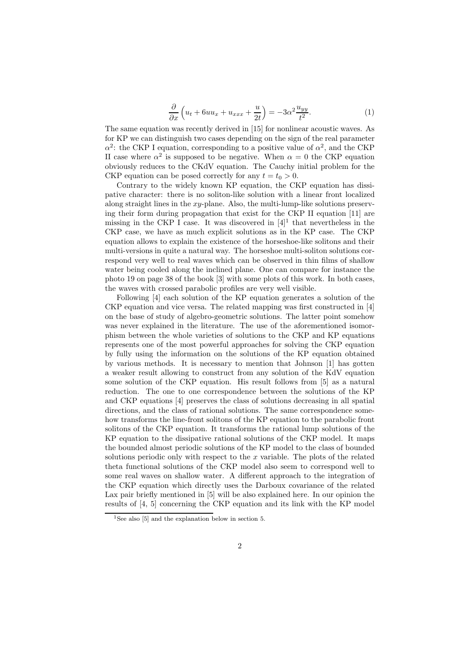$$
\frac{\partial}{\partial x}\left(u_t + 6uu_x + u_{xxx} + \frac{u}{2t}\right) = -3\alpha^2 \frac{u_{yy}}{t^2}.\tag{1}
$$

The same equation was recently derived in [15] for nonlinear acoustic waves. As for KP we can distinguish two cases depending on the sign of the real parameter  $\alpha^2$ : the CKP I equation, corresponding to a positive value of  $\alpha^2$ , and the CKP II case where  $\alpha^2$  is supposed to be negative. When  $\alpha = 0$  the CKP equation obviously reduces to the CKdV equation. The Cauchy initial problem for the CKP equation can be posed correctly for any  $t = t_0 > 0$ .

Contrary to the widely known KP equation, the CKP equation has dissipative character: there is no soliton-like solution with a linear front localized along straight lines in the xy-plane. Also, the multi-lump-like solutions preserving their form during propagation that exist for the CKP II equation [11] are missing in the CKP I case. It was discovered in  $[4]$ <sup>1</sup> that nevertheless in the CKP case, we have as much explicit solutions as in the KP case. The CKP equation allows to explain the existence of the horseshoe-like solitons and their multi-versions in quite a natural way. The horseshoe multi-soliton solutions correspond very well to real waves which can be observed in thin films of shallow water being cooled along the inclined plane. One can compare for instance the photo 19 on page 38 of the book [3] with some plots of this work. In both cases, the waves with crossed parabolic profiles are very well visible.

Following [4] each solution of the KP equation generates a solution of the CKP equation and vice versa. The related mapping was first constructed in [4] on the base of study of algebro-geometric solutions. The latter point somehow was never explained in the literature. The use of the aforementioned isomorphism between the whole varieties of solutions to the CKP and KP equations represents one of the most powerful approaches for solving the CKP equation by fully using the information on the solutions of the KP equation obtained by various methods. It is necessary to mention that Johnson [1] has gotten a weaker result allowing to construct from any solution of the KdV equation some solution of the CKP equation. His result follows from [5] as a natural reduction. The one to one correspondence between the solutions of the KP and CKP equations [4] preserves the class of solutions decreasing in all spatial directions, and the class of rational solutions. The same correspondence somehow transforms the line-front solitons of the KP equation to the parabolic front solitons of the CKP equation. It transforms the rational lump solutions of the KP equation to the dissipative rational solutions of the CKP model. It maps the bounded almost periodic solutions of the KP model to the class of bounded solutions periodic only with respect to the x variable. The plots of the related theta functional solutions of the CKP model also seem to correspond well to some real waves on shallow water. A different approach to the integration of the CKP equation which directly uses the Darboux covariance of the related Lax pair briefly mentioned in [5] will be also explained here. In our opinion the results of [4, 5] concerning the CKP equation and its link with the KP model

<sup>&</sup>lt;sup>1</sup>See also [5] and the explanation below in section 5.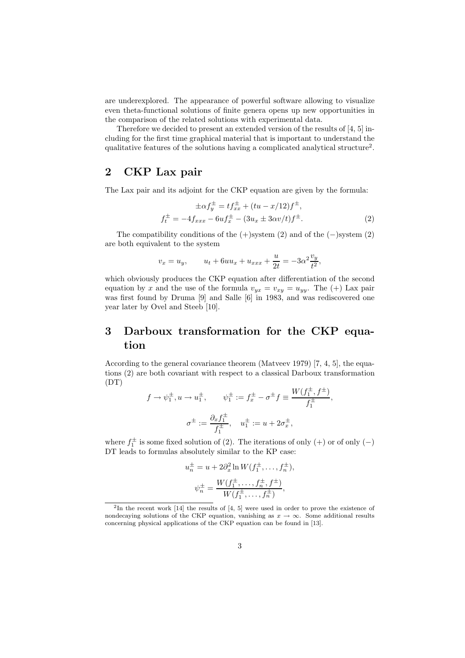are underexplored. The appearance of powerful software allowing to visualize even theta-functional solutions of finite genera opens up new opportunities in the comparison of the related solutions with experimental data.

Therefore we decided to present an extended version of the results of [4, 5] including for the first time graphical material that is important to understand the qualitative features of the solutions having a complicated analytical structure2.

#### **2 CKP Lax pair**

The Lax pair and its adjoint for the CKP equation are given by the formula:

 $\mathbf{r}$ 

$$
\pm \alpha f_y^{\pm} = t f_{xx}^{\pm} + (tu - x/12) f^{\pm}, \nf_t^{\pm} = -4 f_{xxx} - 6u f_x^{\pm} - (3u_x \pm 3\alpha v/t) f^{\pm}.
$$
\n(2)

The compatibility conditions of the  $(+)$ system  $(2)$  and of the  $(-)$ system  $(2)$ are both equivalent to the system

$$
v_x = u_y
$$
,  $u_t + 6uu_x + u_{xxx} + \frac{u}{2t} = -3\alpha^2 \frac{v_y}{t^2}$ ,

which obviously produces the CKP equation after differentiation of the second equation by x and the use of the formula  $v_{yx} = v_{xy} = u_{yy}$ . The (+) Lax pair was first found by Druma [9] and Salle [6] in 1983, and was rediscovered one year later by Ovel and Steeb [10].

# **3 Darboux transformation for the CKP equation**

According to the general covariance theorem (Matveev 1979) [7, 4, 5], the equations (2) are both covariant with respect to a classical Darboux transformation (DT)

$$
f \to \psi_1^{\pm}, u \to u_1^{\pm}, \qquad \psi_1^{\pm} := f_x^{\pm} - \sigma^{\pm} f \equiv \frac{W(f_1^{\pm}, f^{\pm})}{f_1^{\pm}},
$$
  

$$
\sigma^{\pm} := \frac{\partial_x f_1^{\pm}}{f_1^{\pm}}, \quad u_1^{\pm} := u + 2\sigma_x^{\pm},
$$

where  $f_1^{\pm}$  is some fixed solution of (2). The iterations of only (+) or of only (-) DT leads to formulas absolutely similar to the KP case:

$$
u_n^{\pm} = u + 2\partial_x^2 \ln W(f_1^{\pm}, \dots, f_n^{\pm}),
$$
  

$$
\psi_n^{\pm} = \frac{W(f_1^{\pm}, \dots, f_n^{\pm}, f^{\pm})}{W(f_1^{\pm}, \dots, f_n^{\pm})},
$$

<sup>2</sup>In the recent work [14] the results of [4, 5] were used in order to prove the existence of nondecaying solutions of the CKP equation, vanishing as  $x \to \infty$ . Some additional results concerning physical applications of the CKP equation can be found in [13].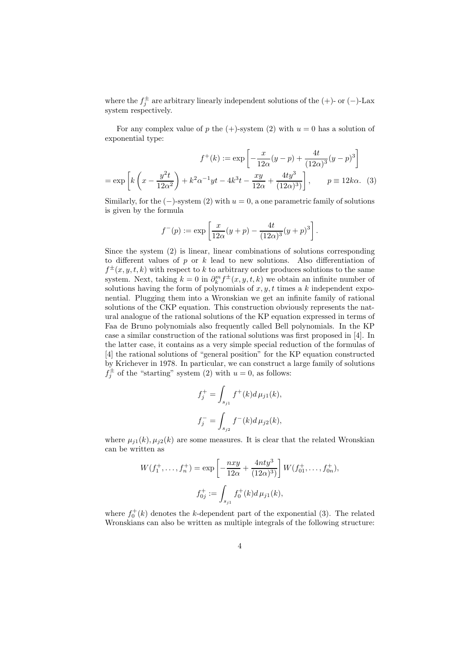where the  $f_j^{\pm}$  are arbitrary linearly independent solutions of the (+)- or (-)-Lax system respectively.

For any complex value of p the  $(+)$ -system (2) with  $u = 0$  has a solution of exponential type:

$$
f^+(k) := \exp\left[-\frac{x}{12\alpha}(y-p) + \frac{4t}{(12\alpha)^3}(y-p)^3\right]
$$

$$
= \exp\left[k\left(x - \frac{y^2t}{12\alpha^2}\right) + k^2\alpha^{-1}yt - 4k^3t - \frac{xy}{12\alpha} + \frac{4ty^3}{(12\alpha)^3}\right], \qquad p \equiv 12k\alpha. \tag{3}
$$

Similarly, for the  $(-)$ -system  $(2)$  with  $u = 0$ , a one parametric family of solutions is given by the formula

$$
f^-(p) := \exp \left[ \frac{x}{12\alpha} (y+p) - \frac{4t}{(12\alpha)^3} (y+p)^3 \right].
$$

Since the system (2) is linear, linear combinations of solutions corresponding to different values of  $p$  or  $k$  lead to new solutions. Also differentiation of  $f^{\pm}(x, y, t, k)$  with respect to k to arbitrary order produces solutions to the same system. Next, taking  $k = 0$  in  $\partial_k^m f^{\pm}(x, y, t, k)$  we obtain an infinite number of solutions having the form of polynomials of  $x, y, t$  times a k independent exponential. Plugging them into a Wronskian we get an infinite family of rational solutions of the CKP equation. This construction obviously represents the natural analogue of the rational solutions of the KP equation expressed in terms of Faa de Bruno polynomials also frequently called Bell polynomials. In the KP case a similar construction of the rational solutions was first proposed in [4]. In the latter case, it contains as a very simple special reduction of the formulas of [4] the rational solutions of "general position" for the KP equation constructed by Krichever in 1978. In particular, we can construct a large family of solutions  $f_j^{\pm}$  of the "starting" system (2) with  $u = 0$ , as follows:

$$
f_j^+ = \int_{s_{j1}} f^+(k) d\mu_{j1}(k),
$$
  

$$
f_j^- = \int_{s_{j2}} f^-(k) d\mu_{j2}(k),
$$

where  $\mu_{j1}(k), \mu_{j2}(k)$  are some measures. It is clear that the related Wronskian can be written as

$$
W(f_1^+, \ldots, f_n^+) = \exp\left[-\frac{nxy}{12\alpha} + \frac{4nty^3}{(12\alpha)^3}\right] W(f_{01}^+, \ldots, f_{0n}^+),
$$
  

$$
f_{0j}^+ := \int_{s_{j1}} f_0^+(k) d\mu_{j1}(k),
$$

where  $f_0^+(k)$  denotes the k-dependent part of the exponential (3). The related Wronskians can also be written as multiple integrals of the following structure: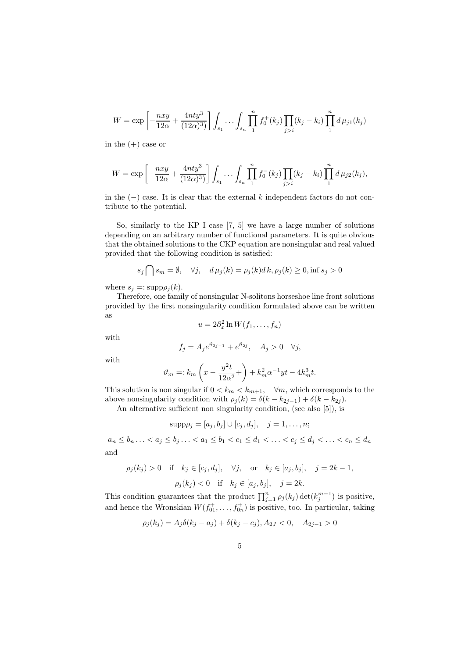$$
W = \exp\left[-\frac{nxy}{12\alpha} + \frac{4nty^3}{(12\alpha)^3}\right] \int_{s_1} \cdots \int_{s_n} \prod_{1}^n f_0^+(k_j) \prod_{j>i}(k_j - k_i) \prod_{1}^n d\mu_{j1}(k_j)
$$

in the  $(+)$  case or

$$
W = \exp\left[-\frac{nxy}{12\alpha} + \frac{4nty^3}{(12\alpha)^3}\right] \int_{s_1} \cdots \int_{s_n} \prod_{1}^n f_0^-(k_j) \prod_{j>i} (k_j - k_i) \prod_{1}^n d\mu_{j2}(k_j),
$$

in the  $(-)$  case. It is clear that the external k independent factors do not contribute to the potential.

So, similarly to the KP I case [7, 5] we have a large number of solutions depending on an arbitrary number of functional parameters. It is quite obvious that the obtained solutions to the CKP equation are nonsingular and real valued provided that the following condition is satisfied:

$$
s_j \bigcap s_m = \emptyset, \quad \forall j, \quad d\mu_j(k) = \rho_j(k)dk, \rho_j(k) \ge 0, \text{inf } s_j > 0
$$

where  $s_j =: \text{supp}\rho_j(k)$ .

Therefore, one family of nonsingular N-solitons horseshoe line front solutions provided by the first nonsingularity condition formulated above can be written as

$$
u = 2\partial_x^2 \ln W(f_1, \dots, f_n)
$$

with

$$
f_j = A_j e^{\vartheta_{2j-1}} + e^{\vartheta_{2j}}, \quad A_j > 0 \quad \forall j,
$$

with

$$
\vartheta_m =: k_m \left( x - \frac{y^2 t}{12\alpha^2} + \right) + k_m^2 \alpha^{-1} y t - 4k_m^3 t.
$$

This solution is non singular if  $0 < k_m < k_{m+1}$ ,  $\forall m$ , which corresponds to the above nonsingularity condition with  $\rho_j(k) = \delta(k - k_{2j-1}) + \delta(k - k_{2j}).$ 

An alternative sufficient non singularity condition, (see also [5]), is

 $\text{supp}\rho_j = [a_j, b_j] \cup [c_j, d_j], \quad j = 1, \ldots, n;$ 

$$
a_n \le b_n \ldots < a_j \le b_j \ldots < a_1 \le b_1 < c_1 \le d_1 < \ldots < c_j \le d_j < \ldots < c_n \le d_n
$$
\nand

$$
\rho_j(k_j) > 0
$$
 if  $k_j \in [c_j, d_j]$ ,  $\forall j$ , or  $k_j \in [a_j, b_j]$ ,  $j = 2k - 1$ ,  
\n $\rho_j(k_j) < 0$  if  $k_j \in [a_j, b_j]$ ,  $j = 2k$ .

This condition guarantees that the product  $\prod_{j=1}^{n} \rho_j(k_j) \det(k_j^{m-1})$  is positive, and hence the Wronskian  $W(f_{01}^+, \ldots, f_{0n}^+)$  is positive, too. In particular, taking

$$
\rho_j(k_j) = A_j \delta(k_j - a_j) + \delta(k_j - c_j), A_{2J} < 0, \quad A_{2j-1} > 0
$$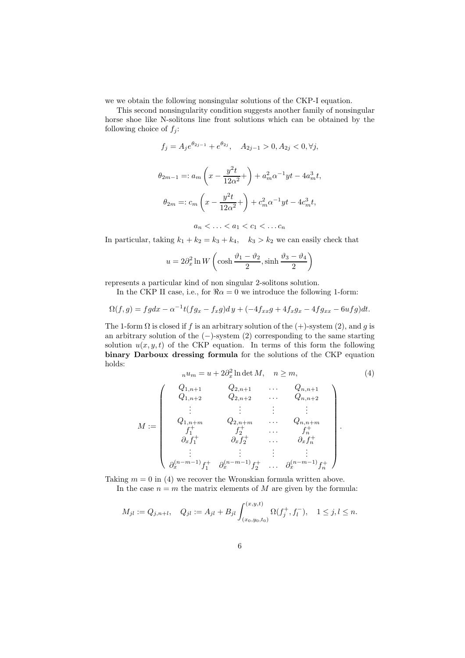we we obtain the following nonsingular solutions of the CKP-I equation.

This second nonsingularity condition suggests another family of nonsingular horse shoe like N-solitons line front solutions which can be obtained by the following choice of  $f_j$ :

$$
f_j = A_j e^{\theta_{2j-1}} + e^{\theta_{2j}}, \quad A_{2j-1} > 0, A_{2j} < 0, \forall j,
$$
  

$$
\theta_{2m-1} =: a_m \left( x - \frac{y^2 t}{12\alpha^2} + \right) + a_m^2 \alpha^{-1} yt - 4a_m^3 t,
$$
  

$$
\theta_{2m} =: c_m \left( x - \frac{y^2 t}{12\alpha^2} + \right) + c_m^2 \alpha^{-1} yt - 4c_m^3 t,
$$
  

$$
a_n < \dots < a_1 < c_1 < \dots c_n
$$

In particular, taking  $k_1 + k_2 = k_3 + k_4$ ,  $k_3 > k_2$  we can easily check that

$$
u = 2\partial_x^2 \ln W \left( \cosh \frac{\vartheta_1 - \vartheta_2}{2}, \sinh \frac{\vartheta_3 - \vartheta_4}{2} \right)
$$

represents a particular kind of non singular 2-solitons solution.

In the CKP II case, i.e., for  $\Re \alpha = 0$  we introduce the following 1-form:

$$
\Omega(f,g) = fgdx - \alpha^{-1}t(fg_x - f_xg)dy + (-4f_{xx}g + 4f_{x}g_x - 4fg_{xx} - 6ufg)dt.
$$

The 1-form  $\Omega$  is closed if f is an arbitrary solution of the (+)-system (2), and q is an arbitrary solution of the  $(-)$ -system  $(2)$  corresponding to the same starting solution  $u(x, y, t)$  of the CKP equation. In terms of this form the following **binary Darboux dressing formula** for the solutions of the CKP equation holds:

$$
n u_m = u + 2\partial_x^2 \ln \det M, \quad n \ge m,
$$
\n(4)

$$
M := \left(\begin{array}{ccccc} Q_{1,n+1} & Q_{2,n+1} & \dots & Q_{n,n+1} \\ Q_{1,n+2} & Q_{2,n+2} & \dots & Q_{n,n+2} \\ \vdots & \vdots & \vdots & \vdots \\ Q_{1,n+m} & Q_{2,n+m} & \dots & Q_{n,n+m} \\ f_1^+ & f_2^+ & \dots & f_n^+ \\ \partial_x f_1^+ & \partial_x f_2^+ & \dots & \partial_x f_n^+ \\ \vdots & \vdots & \vdots & \vdots \\ \partial_x^{(n-m-1)} f_1^+ & \partial_x^{(n-m-1)} f_2^+ & \dots & \partial_x^{(n-m-1)} f_n^+ \end{array}\right)
$$

Taking  $m = 0$  in (4) we recover the Wronskian formula written above.

In the case  $n = m$  the matrix elements of M are given by the formula:

$$
M_{jl} := Q_{j,n+l}, \quad Q_{jl} := A_{jl} + B_{jl} \int_{(x_0, y_0, t_0)}^{(x, y, t)} \Omega(f_j^+, f_l^-), \quad 1 \le j, l \le n.
$$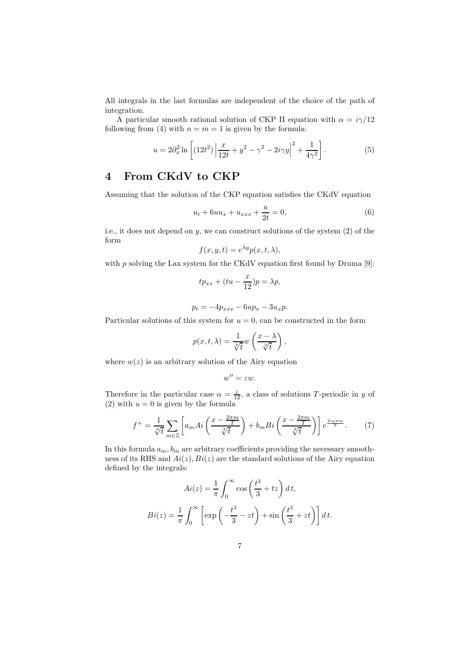All integrals in the last formulas are independent of the choice of the path of integration.

A particular smooth rational solution of CKP II equation with  $\alpha = i\gamma/12$ following from (4) with  $n = m = 1$  is given by the formula:

$$
u = 2\partial_x^2 \ln \left[ (12t^2) \left| \frac{x}{12t} + y^2 - \gamma^2 - 2i\gamma y \right|^2 + \frac{1}{4\gamma^2} \right].
$$
 (5)

### **4 From CKdV to CKP**

Assuming that the solution of the CKP equation satisfies the CKdV equation

$$
u_t + 6uu_x + u_{xxx} + \frac{u}{2t} = 0,
$$
\n(6)

i.e., it does not depend on y, we can construct solutions of the system (2) of the form

$$
f(x, y, t) = e^{\lambda y} p(x, t, \lambda),
$$

with  $p$  solving the Lax system for the CKdV equation first found by Druma [9]:

$$
tp_{xx} + (tu - \frac{x}{12})p = \lambda p,
$$

$$
p_t = -4p_{xxx} - 6up_x - 3u_xp.
$$

Particular solutions of this system for  $u = 0$ , can be constructed in the form

$$
p(x, t, \lambda) = \frac{1}{\sqrt[3]{t}} w\left(\frac{x - \lambda}{\sqrt[3]{t}}\right),
$$

where  $w(z)$  is an arbitrary solution of the Airy equation

$$
w''=zw.
$$

Therefore in the particular case  $\alpha = \frac{i}{12}$ , a class of solutions T-periodic in y of (2) with  $u = 0$  is given by the formula

$$
f^{+} = \frac{1}{\sqrt[3]{t}} \sum_{m \in \mathbb{Z}} \left[ a_{m} Ai\left(\frac{x - \frac{2\pi m}{T}}{\sqrt[3]{t}}\right) + b_{m} Bi\left(\frac{x - \frac{2\pi m}{T}}{\sqrt[3]{t}}\right) \right] e^{\frac{2iy\pi m}{T}}.
$$
 (7)

In this formula  $a_m$ ,  $b_m$  are arbitrary coefficients providing the necessary smoothness of its RHS and  $Ai(z), Bi(z)$  are the standard solutions of the Airy equation defined by the integrals:

$$
Ai(z) = \frac{1}{\pi} \int_0^\infty \cos\left(\frac{t^3}{3} + tz\right) dt,
$$
  

$$
Bi(z) = \frac{1}{\pi} \int_0^\infty \left[ \exp\left(-\frac{t^3}{3} - zt\right) + \sin\left(\frac{t^3}{3} + zt\right) \right] dt.
$$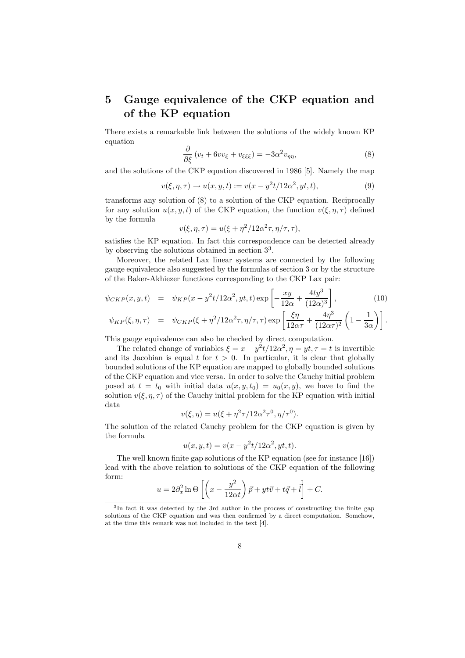# **5 Gauge equivalence of the CKP equation and of the KP equation**

There exists a remarkable link between the solutions of the widely known KP equation

$$
\frac{\partial}{\partial \xi} \left( v_t + 6vv_{\xi} + v_{\xi\xi\xi} \right) = -3\alpha^2 v_{\eta\eta},\tag{8}
$$

and the solutions of the CKP equation discovered in 1986 [5]. Namely the map

$$
v(\xi, \eta, \tau) \to u(x, y, t) := v(x - y^2 t / 12\alpha^2, yt, t),
$$
\n(9)

transforms any solution of (8) to a solution of the CKP equation. Reciprocally for any solution  $u(x, y, t)$  of the CKP equation, the function  $v(\xi, \eta, \tau)$  defined by the formula

$$
v(\xi, \eta, \tau) = u(\xi + \eta^2/12\alpha^2 \tau, \eta/\tau, \tau),
$$

satisfies the KP equation. In fact this correspondence can be detected already by observing the solutions obtained in section 33.

Moreover, the related Lax linear systems are connected by the following gauge equivalence also suggested by the formulas of section 3 or by the structure of the Baker-Akhiezer functions corresponding to the CKP Lax pair:

$$
\psi_{CKP}(x, y, t) = \psi_{KP}(x - y^2 t / 12\alpha^2, yt, t) \exp\left[-\frac{xy}{12\alpha} + \frac{4ty^3}{(12\alpha)^3}\right],
$$
\n
$$
\psi_{KP}(\xi, \eta, \tau) = \psi_{CKP}(\xi + \eta^2 / 12\alpha^2 \tau, \eta / \tau, \tau) \exp\left[\frac{\xi\eta}{12\alpha\tau} + \frac{4\eta^3}{(12\alpha\tau)^2} \left(1 - \frac{1}{3\alpha}\right)\right].
$$
\n(10)

This gauge equivalence can also be checked by direct computation.

The related change of variables  $\xi = x - y^2t/12\alpha^2$ ,  $\eta = yt$ ,  $\tau = t$  is invertible and its Jacobian is equal t for  $t > 0$ . In particular, it is clear that globally bounded solutions of the KP equation are mapped to globally bounded solutions of the CKP equation and vice versa. In order to solve the Cauchy initial problem posed at  $t = t_0$  with initial data  $u(x, y, t_0) = u_0(x, y)$ , we have to find the solution  $v(\xi, \eta, \tau)$  of the Cauchy initial problem for the KP equation with initial data

$$
v(\xi, \eta) = u(\xi + \eta^2 \tau / 12\alpha^2 \tau^0, \eta / \tau^0).
$$

The solution of the related Cauchy problem for the CKP equation is given by the formula

$$
u(x, y, t) = v(x - y^2t/12\alpha^2, yt, t).
$$

The well known finite gap solutions of the KP equation (see for instance [16]) lead with the above relation to solutions of the CKP equation of the following form:

$$
u = 2\partial_x^2 \ln \Theta \left[ \left( x - \frac{y^2}{12\alpha t} \right) \vec{p} + yt\vec{v} + t\vec{q} + \vec{l} \right] + C.
$$

<sup>3</sup>In fact it was detected by the 3rd author in the process of constructing the finite gap solutions of the CKP equation and was then confirmed by a direct computation. Somehow, at the time this remark was not included in the text [4].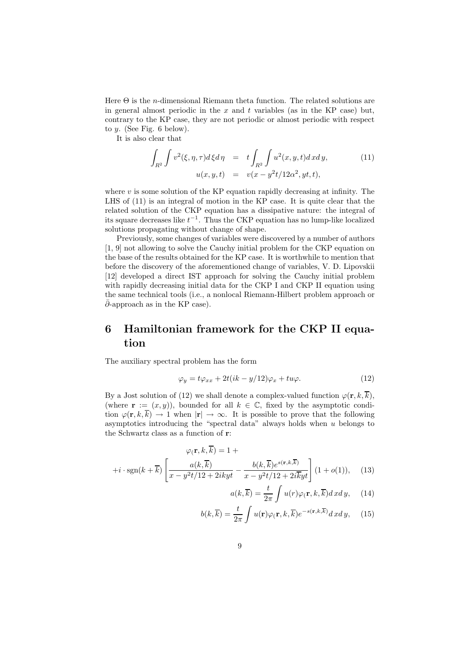Here  $\Theta$  is the *n*-dimensional Riemann theta function. The related solutions are in general almost periodic in the  $x$  and  $t$  variables (as in the KP case) but, contrary to the KP case, they are not periodic or almost periodic with respect to  $y$ . (See Fig. 6 below).

It is also clear that

$$
\int_{R^2} \int v^2(\xi, \eta, \tau) d\xi d\eta = t \int_{R^2} \int u^2(x, y, t) dxdy,
$$
\n(11)  
\n
$$
u(x, y, t) = v(x - y^2 t/12\alpha^2, yt, t),
$$

where  $v$  is some solution of the KP equation rapidly decreasing at infinity. The LHS of (11) is an integral of motion in the KP case. It is quite clear that the related solution of the CKP equation has a dissipative nature: the integral of its square decreases like  $t^{-1}$ . Thus the CKP equation has no lump-like localized solutions propagating without change of shape.

Previously, some changes of variables were discovered by a number of authors [1, 9] not allowing to solve the Cauchy initial problem for the CKP equation on the base of the results obtained for the KP case. It is worthwhile to mention that before the discovery of the aforementioned change of variables, V. D. Lipovskii [12] developed a direct IST approach for solving the Cauchy initial problem with rapidly decreasing initial data for the CKP I and CKP II equation using the same technical tools (i.e., a nonlocal Riemann-Hilbert problem approach or  $\bar{\partial}$ -approach as in the KP case).

# **6 Hamiltonian framework for the CKP II equation**

The auxiliary spectral problem has the form

$$
\varphi_y = t\varphi_{xx} + 2t(ik - y/12)\varphi_x + tu\varphi.
$$
\n(12)

By a Jost solution of (12) we shall denote a complex-valued function  $\varphi(\mathbf{r}, k, \overline{k})$ , (where **r** :=  $(x, y)$ ), bounded for all  $k \in \mathbb{C}$ , fixed by the asymptotic condition  $\varphi(\mathbf{r}, k, \overline{k}) \to 1$  when  $|\mathbf{r}| \to \infty$ . It is possible to prove that the following asymptotics introducing the "spectral data" always holds when  $u$  belongs to the Schwartz class as a function of **r**:

$$
\varphi(\mathbf{r},k,k) = 1 +
$$
  
+ $i \cdot \operatorname{sgn}(k + \overline{k}) \left[ \frac{a(k,\overline{k})}{x - y^2 t / 12 + 2ikyt} - \frac{b(k,\overline{k}) e^{s(\mathbf{r},k,\overline{k})}}{x - y^2 t / 12 + 2i\overline{k}yt} \right] (1 + o(1)),$  (13)

$$
a(k,\overline{k}) = \frac{t}{2\pi} \int u(r)\varphi(\mathbf{r},k,\overline{k})d\,xd\,y,\quad(14)
$$

$$
b(k,\overline{k}) = \frac{t}{2\pi} \int u(\mathbf{r}) \varphi(\mathbf{r},k,\overline{k}) e^{-s(\mathbf{r},k,\overline{k})} dx dy, \quad (15)
$$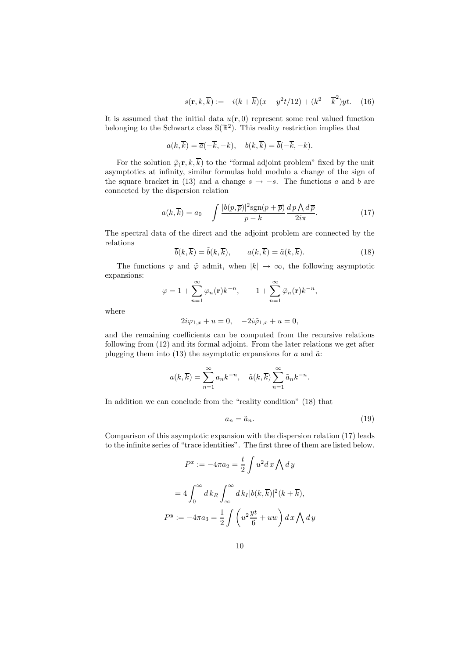$$
s(\mathbf{r}, k, \overline{k}) := -i(k + \overline{k})(x - y^2 t/12) + (k^2 - \overline{k}^2)yt.
$$
 (16)

It is assumed that the initial data  $u(\mathbf{r},0)$  represent some real valued function belonging to the Schwartz class  $\mathbb{S}(\mathbb{R}^2)$ . This reality restriction implies that

$$
a(k,\overline{k}) = \overline{a}(-\overline{k},-k), \quad b(k,\overline{k}) = \overline{b}(-\overline{k},-k).
$$

For the solution  $\tilde{\varphi}_i(\mathbf{r}, k, \overline{k})$  to the "formal adjoint problem" fixed by the unit asymptotics at infinity, similar formulas hold modulo a change of the sign of the square bracket in (13) and a change  $s \to -s$ . The functions a and b are connected by the dispersion relation

$$
a(k,\overline{k}) = a_0 - \int \frac{|b(p,\overline{p})|^2 \text{sgn}(p+\overline{p})}{p-k} \frac{dp \bigwedge d\overline{p}}{2i\pi}.
$$
 (17)

The spectral data of the direct and the adjoint problem are connected by the relations

$$
\overline{b}(k,\overline{k}) = \tilde{b}(k,\overline{k}), \qquad a(k,\overline{k}) = \tilde{a}(k,\overline{k}). \tag{18}
$$

The functions  $\varphi$  and  $\tilde{\varphi}$  admit, when  $|k| \to \infty$ , the following asymptotic expansions:

$$
\varphi = 1 + \sum_{n=1}^{\infty} \varphi_n(\mathbf{r}) k^{-n}, \qquad 1 + \sum_{n=1}^{\infty} \tilde{\varphi}_n(\mathbf{r}) k^{-n},
$$

where

$$
2i\varphi_{1,x} + u = 0, \quad -2i\tilde{\varphi}_{1,x} + u = 0,
$$

and the remaining coefficients can be computed from the recursive relations following from (12) and its formal adjoint. From the later relations we get after plugging them into (13) the asymptotic expansions for  $a$  and  $\tilde{a}$ :

$$
a(k,\overline{k}) = \sum_{n=1}^{\infty} a_n k^{-n}, \quad \tilde{a}(k,\overline{k}) \sum_{n=1}^{\infty} \tilde{a}_n k^{-n}.
$$

In addition we can conclude from the "reality condition" (18) that

$$
a_n = \tilde{a}_n. \tag{19}
$$

Comparison of this asymptotic expansion with the dispersion relation (17) leads to the infinite series of "trace identities". The first three of them are listed below.

$$
P^x := -4\pi a_2 = \frac{t}{2} \int u^2 dx \bigwedge dy
$$

$$
= 4 \int_0^\infty dk_R \int_\infty^\infty dk_I |b(k, \overline{k})|^2 (k + \overline{k}),
$$

$$
P^y := -4\pi a_3 = \frac{1}{2} \int \left( u^2 \frac{yt}{6} + uw \right) dx \bigwedge dy
$$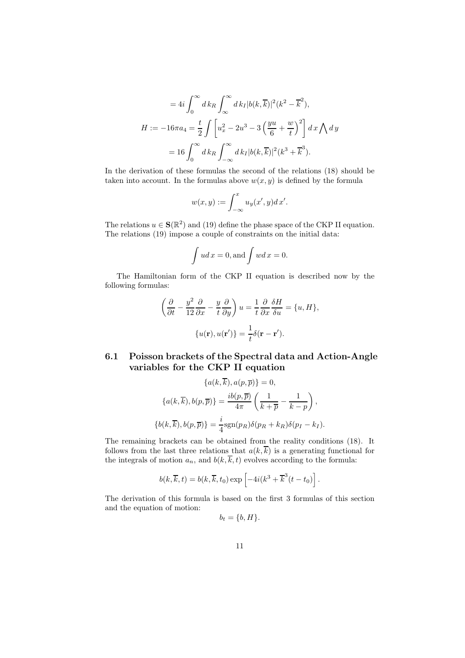$$
=4i\int_0^\infty dk_R \int_\infty^\infty dk_I |b(k,\overline{k})|^2 (k^2 - \overline{k}^2),
$$
  
\n
$$
H := -16\pi a_4 = \frac{t}{2} \int \left[ u_x^2 - 2u^3 - 3\left(\frac{yu}{6} + \frac{w}{t}\right)^2 \right] dx \bigwedge dy
$$
  
\n
$$
= 16 \int_0^\infty dk_R \int_{-\infty}^\infty dk_I |b(k,\overline{k})|^2 (k^3 + \overline{k}^3).
$$

In the derivation of these formulas the second of the relations (18) should be taken into account. In the formulas above  $w(x, y)$  is defined by the formula

$$
w(x,y) := \int_{-\infty}^{x} u_y(x',y) dx'.
$$

The relations  $u \in \mathbf{S}(\mathbb{R}^2)$  and (19) define the phase space of the CKP II equation. The relations (19) impose a couple of constraints on the initial data:

$$
\int u dx = 0, \text{and } \int w dx = 0.
$$

The Hamiltonian form of the CKP II equation is described now by the following formulas:

$$
\left(\frac{\partial}{\partial t} - \frac{y^2}{12}\frac{\partial}{\partial x} - \frac{y}{t}\frac{\partial}{\partial y}\right)u = \frac{1}{t}\frac{\partial}{\partial x}\frac{\delta H}{\delta u} = \{u, H\},\
$$

$$
\{u(\mathbf{r}), u(\mathbf{r}')\} = \frac{1}{t}\delta(\mathbf{r} - \mathbf{r}').
$$

#### **6.1 Poisson brackets of the Spectral data and Action-Angle variables for the CKP II equation**

$$
\{a(k, k), a(p, \overline{p})\} = 0,
$$

$$
\{a(k, \overline{k}), b(p, \overline{p})\} = \frac{ib(p, \overline{p})}{4\pi} \left(\frac{1}{k + \overline{p}} - \frac{1}{k - p}\right),
$$

$$
\{b(k, \overline{k}), b(p, \overline{p})\} = \frac{i}{4} \text{sgn}(p_R) \delta(p_R + k_R) \delta(p_I - k_I).
$$

The remaining brackets can be obtained from the reality conditions (18). It follows from the last three relations that  $a(k, \overline{k})$  is a generating functional for the integrals of motion  $a_n$ , and  $b(k, \overline{k}, t)$  evolves according to the formula:

$$
b(k, \overline{k}, t) = b(k, \overline{k}, t_0) \exp \left[ -4i(k^3 + \overline{k}^3(t - t_0)) \right].
$$

The derivation of this formula is based on the first 3 formulas of this section and the equation of motion:

$$
b_t = \{b, H\}.
$$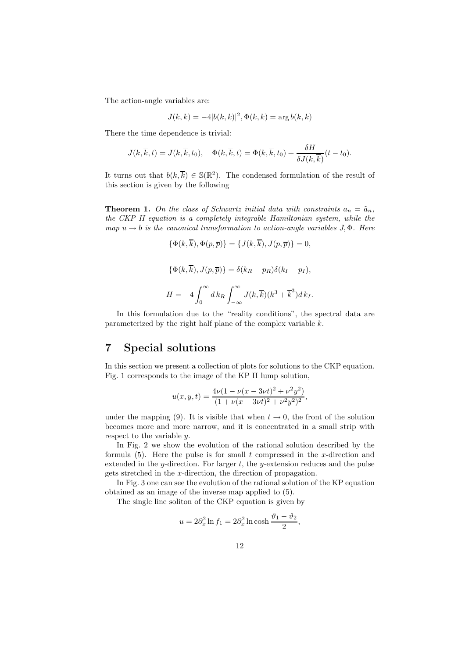The action-angle variables are:

$$
J(k,\overline{k}) = -4|b(k,\overline{k})|^2, \Phi(k,\overline{k}) = \arg b(k,\overline{k})
$$

There the time dependence is trivial:

$$
J(k,\overline{k},t) = J(k,\overline{k},t_0), \quad \Phi(k,\overline{k},t) = \Phi(k,\overline{k},t_0) + \frac{\delta H}{\delta J(k,\overline{k})}(t-t_0).
$$

It turns out that  $b(k, \overline{k}) \in \mathbb{S}(\mathbb{R}^2)$ . The condensed formulation of the result of this section is given by the following

**Theorem 1.** On the class of Schwartz initial data with constraints  $a_n = \tilde{a}_n$ , *the CKP II equation is a completely integrable Hamiltonian system, while the*  $map u \rightarrow b$  *is the canonical transformation to action-angle variables*  $J, \Phi$ *. Here* 

$$
\{\Phi(k,\overline{k}), \Phi(p,\overline{p})\} = \{J(k,\overline{k}), J(p,\overline{p})\} = 0,
$$
  

$$
\{\Phi(k,\overline{k}), J(p,\overline{p})\} = \delta(k_R - p_R)\delta(k_I - p_I),
$$
  

$$
H = -4\int_0^\infty dk_R \int_{-\infty}^\infty J(k,\overline{k})(k^3 + \overline{k}^3)dk_I.
$$

In this formulation due to the "reality conditions", the spectral data are parameterized by the right half plane of the complex variable k.

#### **7 Special solutions**

In this section we present a collection of plots for solutions to the CKP equation. Fig. 1 corresponds to the image of the KP II lump solution,

$$
u(x, y, t) = \frac{4\nu(1 - \nu(x - 3\nu t)^2 + \nu^2 y^2)}{(1 + \nu(x - 3\nu t)^2 + \nu^2 y^2)^2},
$$

under the mapping (9). It is visible that when  $t \to 0$ , the front of the solution becomes more and more narrow, and it is concentrated in a small strip with respect to the variable y.

In Fig. 2 we show the evolution of the rational solution described by the formula  $(5)$ . Here the pulse is for small t compressed in the x-direction and extended in the y-direction. For larger  $t$ , the y-extension reduces and the pulse gets stretched in the x-direction, the direction of propagation.

In Fig. 3 one can see the evolution of the rational solution of the KP equation obtained as an image of the inverse map applied to (5).

The single line soliton of the CKP equation is given by

$$
u = 2\partial_x^2 \ln f_1 = 2\partial_x^2 \ln \cosh \frac{\theta_1 - \theta_2}{2},
$$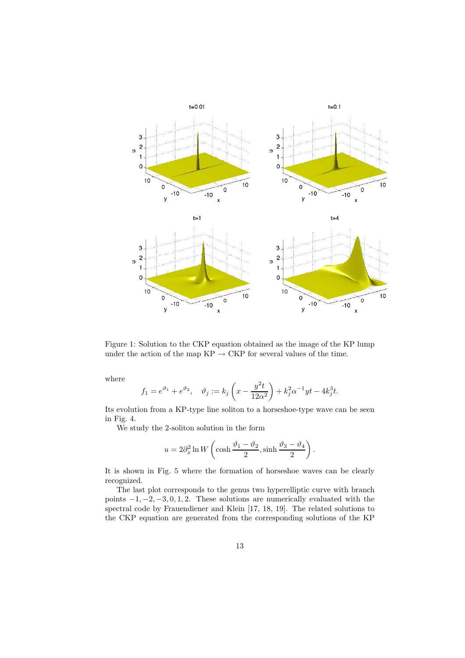

Figure 1: Solution to the CKP equation obtained as the image of the KP lump under the action of the map  $KP \to \mathrm{CKP}$  for several values of the time.

where

$$
f_1 = e^{\vartheta_1} + e^{\vartheta_2}, \quad \vartheta_j := k_j \left( x - \frac{y^2 t}{12 \alpha^2} \right) + k_j^2 \alpha^{-1} y t - 4k_j^3 t.
$$

Its evolution from a KP-type line soliton to a horseshoe-type wave can be seen in Fig. 4.

We study the 2-soliton solution in the form

$$
u = 2\partial_x^2 \ln W \left( \cosh \frac{\theta_1 - \theta_2}{2}, \sinh \frac{\theta_3 - \theta_4}{2} \right)
$$

.

It is shown in Fig. 5 where the formation of horseshoe waves can be clearly recognized.

The last plot corresponds to the genus two hyperelliptic curve with branch points  $-1, -2, -3, 0, 1, 2$ . These solutions are numerically evaluated with the spectral code by Frauendiener and Klein [17, 18, 19]. The related solutions to the CKP equation are generated from the corresponding solutions of the KP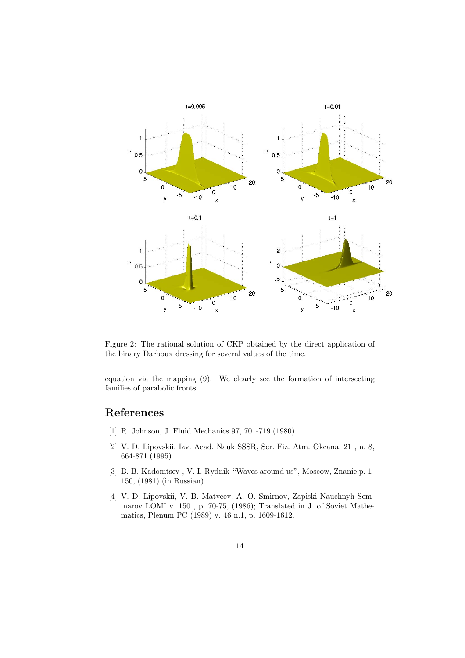

Figure 2: The rational solution of CKP obtained by the direct application of the binary Darboux dressing for several values of the time.

equation via the mapping (9). We clearly see the formation of intersecting families of parabolic fronts.

## **References**

- [1] R. Johnson, J. Fluid Mechanics 97, 701-719 (1980)
- [2] V. D. Lipovskii, Izv. Acad. Nauk SSSR, Ser. Fiz. Atm. Okeana, 21 , n. 8, 664-871 (1995).
- [3] B. B. Kadomtsev , V. I. Rydnik "Waves around us", Moscow, Znanie,p. 1- 150, (1981) (in Russian).
- [4] V. D. Lipovskii, V. B. Matveev, A. O. Smirnov, Zapiski Nauchnyh Seminarov LOMI v. 150 , p. 70-75, (1986); Translated in J. of Soviet Mathematics, Plenum PC (1989) v. 46 n.1, p. 1609-1612.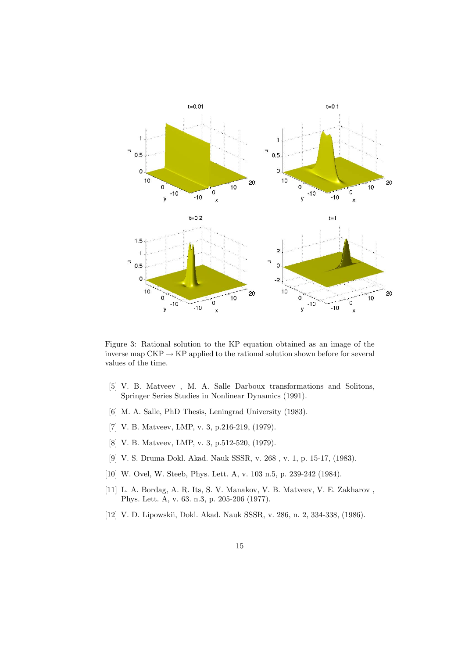

Figure 3: Rational solution to the KP equation obtained as an image of the inverse map  $CKP \rightarrow KP$  applied to the rational solution shown before for several values of the time.

- [5] V. B. Matveev , M. A. Salle Darboux transformations and Solitons, Springer Series Studies in Nonlinear Dynamics (1991).
- [6] M. A. Salle, PhD Thesis, Leningrad University (1983).
- [7] V. B. Matveev, LMP, v. 3, p.216-219, (1979).
- [8] V. B. Matveev, LMP, v. 3, p.512-520, (1979).
- [9] V. S. Druma Dokl. Akad. Nauk SSSR, v. 268 , v. 1, p. 15-17, (1983).
- [10] W. Ovel, W. Steeb, Phys. Lett. A, v. 103 n.5, p. 239-242 (1984).
- [11] L. A. Bordag, A. R. Its, S. V. Manakov, V. B. Matveev, V. E. Zakharov , Phys. Lett. A, v. 63. n.3, p. 205-206 (1977).
- [12] V. D. Lipowskii, Dokl. Akad. Nauk SSSR, v. 286, n. 2, 334-338, (1986).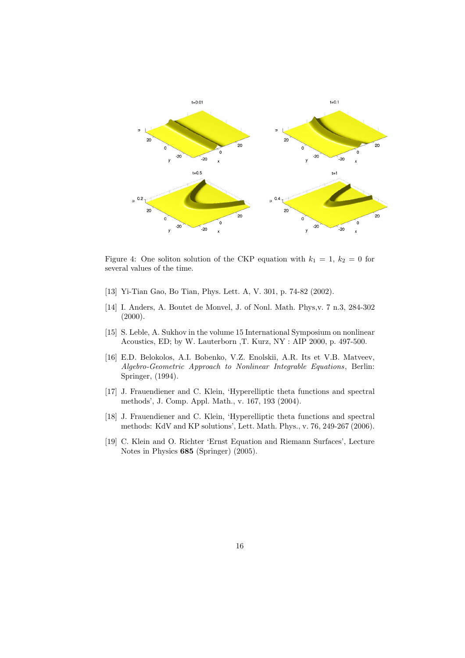

Figure 4: One soliton solution of the CKP equation with  $k_1 = 1, k_2 = 0$  for several values of the time.

- [13] Yi-Tian Gao, Bo Tian, Phys. Lett. A, V. 301, p. 74-82 (2002).
- [14] I. Anders, A. Boutet de Monvel, J. of Nonl. Math. Phys,v. 7 n.3, 284-302 (2000).
- [15] S. Leble, A. Sukhov in the volume 15 International Symposium on nonlinear Acoustics, ED; by W. Lauterborn ,T. Kurz, NY : AIP 2000, p. 497-500.
- [16] E.D. Belokolos, A.I. Bobenko, V.Z. Enolskii, A.R. Its et V.B. Matveev, *Algebro-Geometric Approach to Nonlinear Integrable Equations*, Berlin: Springer, (1994).
- [17] J. Frauendiener and C. Klein, 'Hyperelliptic theta functions and spectral methods', J. Comp. Appl. Math., v. 167, 193 (2004).
- [18] J. Frauendiener and C. Klein, 'Hyperelliptic theta functions and spectral methods: KdV and KP solutions', Lett. Math. Phys., v. 76, 249-267 (2006).
- [19] C. Klein and O. Richter 'Ernst Equation and Riemann Surfaces', Lecture Notes in Physics **685** (Springer) (2005).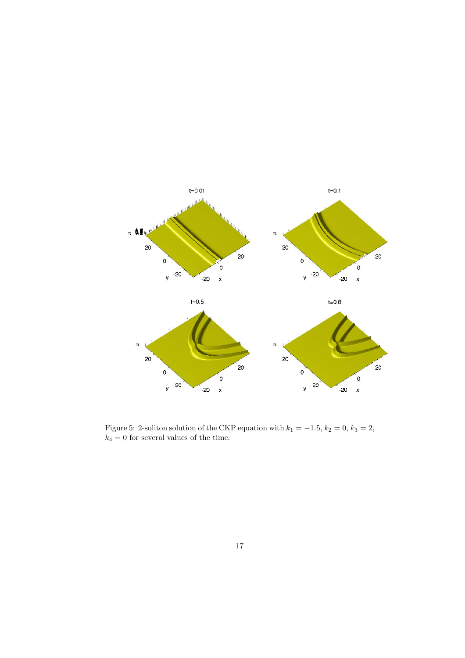

Figure 5: 2-soliton solution of the CKP equation with  $k_1 = -1.5$ ,  $k_2 = 0$ ,  $k_3 = 2$ ,  $k_4 = 0$  for several values of the time.